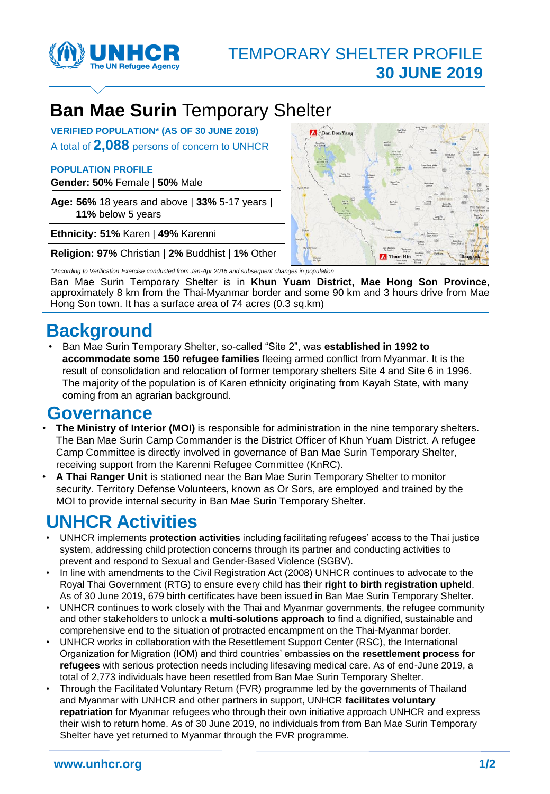

# **Ban Mae Surin** Temporary Shelter

**VERIFIED POPULATION\* (AS OF 30 JUNE 2019)** A total of **2,088** persons of concern to UNHCR

#### **POPULATION PROFILE**

**Gender: 50%** Female | **50%** Male

**Age: 56%** 18 years and above | **33%** 5-17 years | **11%** below 5 years

**Ethnicity: 51%** Karen | **49%** Karenni

**Religion: 97%** Christian | **2%** Buddhist | **1%** Other

Ban Don Yang ım Hin **A** The

*\*According to Verification Exercise conducted from Jan-Apr 2015 and subsequent changes in population* 

Ban Mae Surin Temporary Shelter is in **Khun Yuam District, Mae Hong Son Province**, approximately 8 km from the Thai-Myanmar border and some 90 km and 3 hours drive from Mae Hong Son town. It has a surface area of 74 acres (0.3 sq.km)

## **Background**

• Ban Mae Surin Temporary Shelter, so-called "Site 2", was **established in 1992 to accommodate some 150 refugee families** fleeing armed conflict from Myanmar. It is the result of consolidation and relocation of former temporary shelters Site 4 and Site 6 in 1996. The majority of the population is of Karen ethnicity originating from Kayah State, with many coming from an agrarian background.

### **Governance**

- **The Ministry of Interior (MOI)** is responsible for administration in the nine temporary shelters. The Ban Mae Surin Camp Commander is the District Officer of Khun Yuam District. A refugee Camp Committee is directly involved in governance of Ban Mae Surin Temporary Shelter, receiving support from the Karenni Refugee Committee (KnRC).
- **A Thai Ranger Unit** is stationed near the Ban Mae Surin Temporary Shelter to monitor security. Territory Defense Volunteers, known as Or Sors, are employed and trained by the MOI to provide internal security in Ban Mae Surin Temporary Shelter.

## **UNHCR Activities**

- UNHCR implements **protection activities** including facilitating refugees' access to the Thai justice system, addressing child protection concerns through its partner and conducting activities to prevent and respond to Sexual and Gender-Based Violence (SGBV).
- In line with amendments to the Civil Registration Act (2008) UNHCR continues to advocate to the Royal Thai Government (RTG) to ensure every child has their **right to birth registration upheld**. As of 30 June 2019, 679 birth certificates have been issued in Ban Mae Surin Temporary Shelter.
- UNHCR continues to work closely with the Thai and Myanmar governments, the refugee community and other stakeholders to unlock a **multi-solutions approach** to find a dignified, sustainable and comprehensive end to the situation of protracted encampment on the Thai-Myanmar border.
- UNHCR works in collaboration with the Resettlement Support Center (RSC), the International Organization for Migration (IOM) and third countries' embassies on the **resettlement process for refugees** with serious protection needs including lifesaving medical care. As of end-June 2019, a total of 2,773 individuals have been resettled from Ban Mae Surin Temporary Shelter.
- Through the Facilitated Voluntary Return (FVR) programme led by the governments of Thailand and Myanmar with UNHCR and other partners in support, UNHCR **facilitates voluntary repatriation** for Myanmar refugees who through their own initiative approach UNHCR and express their wish to return home. As of 30 June 2019, no individuals from from Ban Mae Surin Temporary Shelter have yet returned to Myanmar through the FVR programme.